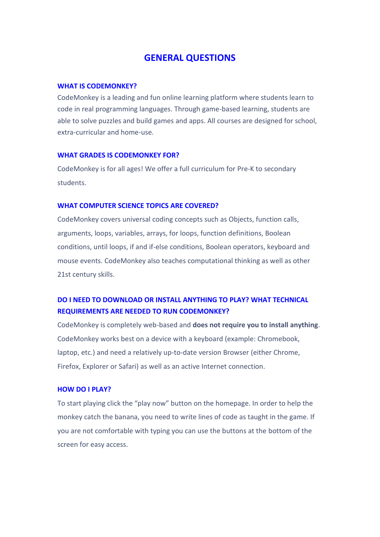# **GENERAL QUESTIONS**

#### **[WHAT IS CODEMONKEY?](https://www.codemonkey.com/faq/)**

CodeMonkey is a leading and fun online learning platform where students learn to code in real programming languages. Through game-based learning, students are able to solve puzzles and build games and apps. All courses are designed for school, extra-curricular and home-use.

#### **[WHAT GRADES IS CODEMONKEY FOR?](https://www.codemonkey.com/faq/)**

CodeMonkey is for all ages! We offer a full curriculum for Pre-K to secondary students.

### **[WHAT COMPUTER SCIENCE TOPICS ARE COVERED?](https://www.codemonkey.com/faq/)**

CodeMonkey covers universal coding concepts such as Objects, function calls, arguments, loops, variables, arrays, for loops, function definitions, Boolean conditions, until loops, if and if-else conditions, Boolean operators, keyboard and mouse events. CodeMonkey also teaches computational thinking as well as other 21st century skills.

# **DO I [NEED TO DOWNLOAD OR INSTALL ANYTHING TO PLAY?](https://www.codemonkey.com/faq/) [WHAT TECHNICAL](https://www.codemonkey.com/faq/)  [REQUIREMENTS ARE NEEDED TO RUN CODEMONKEY?](https://www.codemonkey.com/faq/)**

CodeMonkey is completely web-based and **does not require you to install anything**. CodeMonkey works best on a device with a keyboard (example: Chromebook, laptop, etc.) and need a relatively up-to-date version Browser (either Chrome, Firefox, Explorer or Safari) as well as an active Internet connection.

#### **[HOW DO I PLAY?](https://www.codemonkey.com/faq/)**

To start playing click the "play now" button on the homepage. In order to help the monkey catch the banana, you need to write lines of code as taught in the game. If you are not comfortable with typing you can use the buttons at the bottom of the screen for easy access.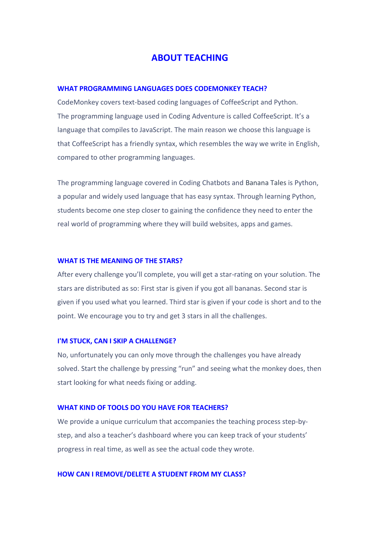# **ABOUT TEACHING**

## **[WHAT PROGRAMMING LANGUAGES DOES CODEMONKEY TEACH?](https://www.codemonkey.com/faq/)**

CodeMonkey covers text-based coding languages of CoffeeScript and Python. The programming language used in Coding Adventure is called CoffeeScript. It's a language that compiles to JavaScript. The main reason we choose this language is that CoffeeScript has a friendly syntax, which resembles the way we write in English, compared to other programming languages.

The programming language covered in Coding Chatbots and [Banana Tales](https://www.codemonkey.com/courses/banana-tales/) is Python, a popular and widely used language that has easy syntax. Through learning Python, students become one step closer to gaining the confidence they need to enter the real world of programming where they will build websites, apps and games.

#### **[WHAT IS THE MEANING OF THE STARS?](https://www.codemonkey.com/faq/)**

After every challenge you'll complete, you will get a star-rating on your solution. The stars are distributed as so: First star is given if you got all bananas. Second star is given if you used what you learned. Third star is given if your code is short and to the point. We encourage you to try and get 3 stars in all the challenges.

#### **[I'M STUCK, CAN I SKIP A CHALLENGE?](https://www.codemonkey.com/faq/)**

No, unfortunately you can only move through the challenges you have already solved. Start the challenge by pressing "run" and seeing what the monkey does, then start looking for what needs fixing or adding.

#### **[WHAT KIND OF TOOLS DO YOU HAVE FOR TEACHERS?](https://www.codemonkey.com/faq/)**

We provide a unique curriculum that accompanies the teaching process step-bystep, and also a teacher's dashboard where you can keep track of your students' progress in real time, as well as see the actual code they wrote.

#### **[HOW CAN I REMOVE/DELETE A STUDENT FROM MY CLASS?](https://www.codemonkey.com/faq/)**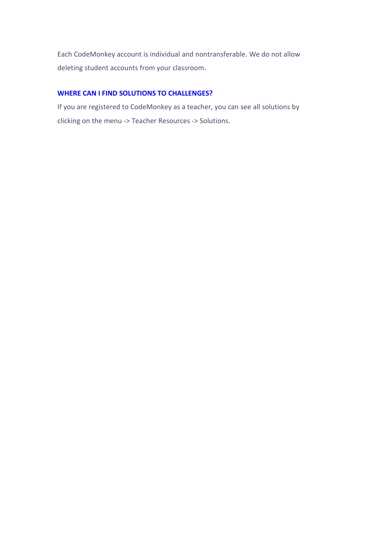Each CodeMonkey account is individual and nontransferable. We do not allow deleting student accounts from your classroom.

## **[WHERE CAN I FIND SOLUTIONS TO CHALLENGES?](https://www.codemonkey.com/faq/)**

If you are registered to CodeMonkey as a teacher, you can see all solutions by clicking on the menu -> Teacher Resources -> Solutions.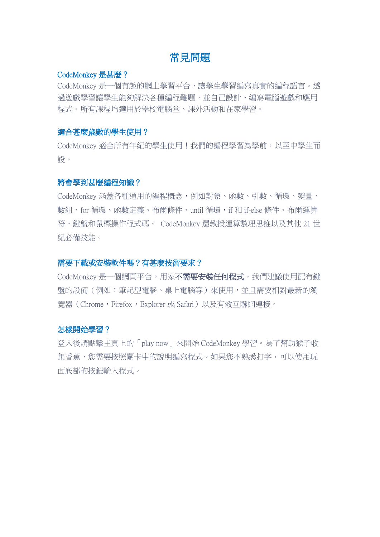# 常見問題

## [CodeMonkey](https://www.codemonkey.com/faq/) 是甚麼?

CodeMonkey 是一個有趣的網上學習平台,讓學生學習編寫真實的編程語言。透 過遊戲學習讓學生能夠解決各種編程難題,並自己設計、編寫電腦遊戲和應用 程式。所有課程均適用於學校電腦堂、課外活動和在家學習。

## 適合甚麼歲數的學生使用?

CodeMonkey 適合所有年紀的學生使用!我們的編程學習為學前,以至中學生而 設。

# 將會學到甚麼編程知識?

CodeMonkey 涵蓋各種通用的編程概念,例如對象、函數、引數、循環、變量、 數組、for 循環、函數定義、布爾條件、until 循環, if 和 if-else 條件、布爾運算 符、鍵盤和鼠標操作程式碼。 CodeMonkey 還教授運算數理思維以及其他 21 世 紀必備技能。

# 需要下載或安裝軟件嗎?有甚麼技術要求?

CodeMonkey 是一個網頁平台,用家不**需要安裝任何程式**。我們建議使用配有鍵 盤的設備(例如:筆記型電腦、桌上電腦等)來使用,並且需要相對最新的瀏 覽器(Chrome,Firefox,Explorer 或 Safari)以及有效互聯網連接。

#### 怎樣開始學習?

登入後請點擊主頁上的「play now」來開始 CodeMonkey 學習。為了幫助猴子收 集香蕉,您需要按照關卡中的說明編寫程式。如果您不熟悉打字,可以使用玩 面底部的按鈕輸入程式。